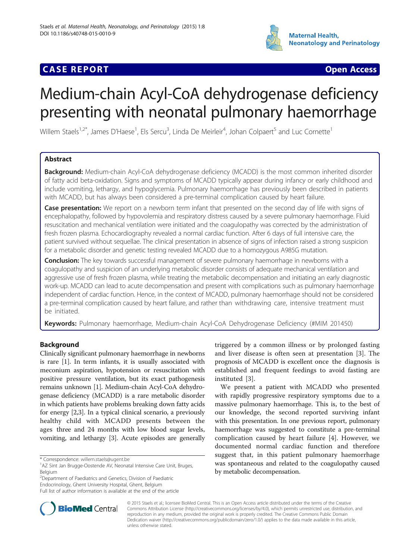# **Maternal Health, Neonatology and Perinatology**

# **CASE REPORT CASE REPORT CASE ACCESS**

# Medium-chain Acyl-CoA dehydrogenase deficiency presenting with neonatal pulmonary haemorrhage

Willem Staels<sup>1,2\*</sup>, James D'Haese<sup>1</sup>, Els Sercu<sup>3</sup>, Linda De Meirleir<sup>4</sup>, Johan Colpaert<sup>5</sup> and Luc Cornette<sup>1</sup>

# Abstract

Background: Medium-chain Acyl-CoA dehydrogenase deficiency (MCADD) is the most common inherited disorder of fatty acid beta-oxidation. Signs and symptoms of MCADD typically appear during infancy or early childhood and include vomiting, lethargy, and hypoglycemia. Pulmonary haemorrhage has previously been described in patients with MCADD, but has always been considered a pre-terminal complication caused by heart failure.

Case presentation: We report on a newborn term infant that presented on the second day of life with signs of encephalopathy, followed by hypovolemia and respiratory distress caused by a severe pulmonary haemorrhage. Fluid resuscitation and mechanical ventilation were initiated and the coagulopathy was corrected by the administration of fresh frozen plasma. Echocardiography revealed a normal cardiac function. After 6 days of full intensive care, the patient survived without sequellae. The clinical presentation in absence of signs of infection raised a strong suspicion for a metabolic disorder and genetic testing revealed MCADD due to a homozygous A985G mutation.

**Conclusion:** The key towards successful management of severe pulmonary haemorrhage in newborns with a coagulopathy and suspicion of an underlying metabolic disorder consists of adequate mechanical ventilation and aggressive use of fresh frozen plasma, while treating the metabolic decompensation and initiating an early diagnostic work-up. MCADD can lead to acute decompensation and present with complications such as pulmonary haemorrhage independent of cardiac function. Hence, in the context of MCADD, pulmonary haemorrhage should not be considered a pre-terminal complication caused by heart failure, and rather than withdrawing care, intensive treatment must be initiated.

Keywords: Pulmonary haemorrhage, Medium-chain Acyl-CoA Dehydrogenase Deficiency (#MIM 201450)

# Background

Clinically significant pulmonary haemorrhage in newborns is rare [[1](#page-5-0)]. In term infants, it is usually associated with meconium aspiration, hypotension or resuscitation with positive pressure ventilation, but its exact pathogenesis remains unknown [[1\]](#page-5-0). Medium-chain Acyl-CoA dehydrogenase deficiency (MCADD) is a rare metabolic disorder in which patients have problems breaking down fatty acids for energy [\[2,3\]](#page-5-0). In a typical clinical scenario, a previously healthy child with MCADD presents between the ages three and 24 months with low blood sugar levels, vomiting, and lethargy [\[3](#page-5-0)]. Acute episodes are generally

2 Department of Paediatrics and Genetics, Division of Paediatric

Endocrinology, Ghent University Hospital, Ghent, Belgium

triggered by a common illness or by prolonged fasting and liver disease is often seen at presentation [\[3](#page-5-0)]. The prognosis of MCADD is excellent once the diagnosis is established and frequent feedings to avoid fasting are instituted [[3\]](#page-5-0).

We present a patient with MCADD who presented with rapidly progressive respiratory symptoms due to a massive pulmonary haemorrhage. This is, to the best of our knowledge, the second reported surviving infant with this presentation. In one previous report, pulmonary haemorrhage was suggested to constitute a pre-terminal complication caused by heart failure [\[4](#page-5-0)]. However, we documented normal cardiac function and therefore suggest that, in this patient pulmonary haemorrhage was spontaneous and related to the coagulopathy caused by metabolic decompensation.



© 2015 Staels et al.; licensee BioMed Central. This is an Open Access article distributed under the terms of the Creative Commons Attribution License [\(http://creativecommons.org/licenses/by/4.0\)](http://creativecommons.org/licenses/by/4.0), which permits unrestricted use, distribution, and reproduction in any medium, provided the original work is properly credited. The Creative Commons Public Domain Dedication waiver [\(http://creativecommons.org/publicdomain/zero/1.0/](http://creativecommons.org/publicdomain/zero/1.0/)) applies to the data made available in this article, unless otherwise stated.

<sup>\*</sup> Correspondence: [willem.staels@ugent.be](mailto:willem.staels@ugent.be) <sup>1</sup>

<sup>&</sup>lt;sup>1</sup>AZ Sint Jan Brugge-Oostende AV, Neonatal Intensive Care Unit, Bruges, Belgium

Full list of author information is available at the end of the article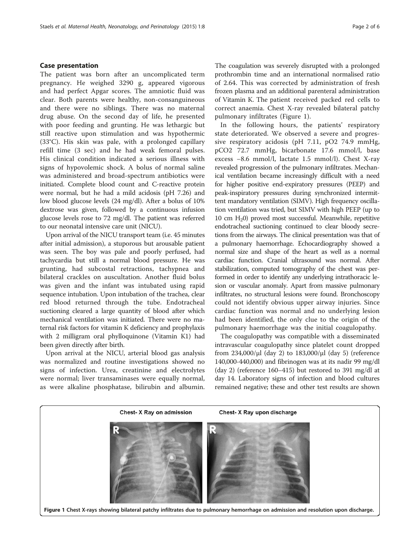#### Case presentation

The patient was born after an uncomplicated term pregnancy. He weighed 3290 g, appeared vigorous and had perfect Apgar scores. The amniotic fluid was clear. Both parents were healthy, non-consanguineous and there were no siblings. There was no maternal drug abuse. On the second day of life, he presented with poor feeding and grunting. He was lethargic but still reactive upon stimulation and was hypothermic (33°C). His skin was pale, with a prolonged capillary refill time (3 sec) and he had weak femoral pulses. His clinical condition indicated a serious illness with signs of hypovolemic shock. A bolus of normal saline was administered and broad-spectrum antibiotics were initiated. Complete blood count and C-reactive protein were normal, but he had a mild acidosis (pH 7.26) and low blood glucose levels (24 mg/dl). After a bolus of 10% dextrose was given, followed by a continuous infusion glucose levels rose to 72 mg/dl. The patient was referred to our neonatal intensive care unit (NICU).

Upon arrival of the NICU transport team (i.e. 45 minutes after initial admission), a stuporous but arousable patient was seen. The boy was pale and poorly perfused, had tachycardia but still a normal blood pressure. He was grunting, had subcostal retractions, tachypnea and bilateral crackles on auscultation. Another fluid bolus was given and the infant was intubated using rapid sequence intubation. Upon intubation of the trachea, clear red blood returned through the tube. Endotracheal suctioning cleared a large quantity of blood after which mechanical ventilation was initiated. There were no maternal risk factors for vitamin K deficiency and prophylaxis with 2 milligram oral phylloquinone (Vitamin K1) had been given directly after birth.

Upon arrival at the NICU, arterial blood gas analysis was normalized and routine investigations showed no signs of infection. Urea, creatinine and electrolytes were normal; liver transaminases were equally normal, as were alkaline phosphatase, bilirubin and albumin. The coagulation was severely disrupted with a prolonged prothrombin time and an international normalised ratio of 2.64. This was corrected by administration of fresh frozen plasma and an additional parenteral administration of Vitamin K. The patient received packed red cells to correct anaemia. Chest X-ray revealed bilateral patchy pulmonary infiltrates (Figure 1).

In the following hours, the patients' respiratory state deteriorated. We observed a severe and progressive respiratory acidosis (pH 7.11, pO2 74.9 mmHg, pCO2 72.7 mmHg, bicarbonate 17.6 mmol/l, base excess −8.6 mmol/l, lactate 1.5 mmol/l). Chest X-ray revealed progression of the pulmonary infiltrates. Mechanical ventilation became increasingly difficult with a need for higher positive end-expiratory pressures (PEEP) and peak-inspiratory pressures during synchronized intermittent mandatory ventilation (SIMV). High frequency oscillation ventilation was tried, but SIMV with high PEEP (up to 10 cm  $H_2$ 0) proved most successful. Meanwhile, repetitive endotracheal suctioning continued to clear bloody secretions from the airways. The clinical presentation was that of a pulmonary haemorrhage. Echocardiography showed a normal size and shape of the heart as well as a normal cardiac function. Cranial ultrasound was normal. After stabilization, computed tomography of the chest was performed in order to identify any underlying intrathoracic lesion or vascular anomaly. Apart from massive pulmonary infiltrates, no structural lesions were found. Bronchoscopy could not identify obvious upper airway injuries. Since cardiac function was normal and no underlying lesion had been identified, the only clue to the origin of the pulmonary haemorrhage was the initial coagulopathy.

The coagulopathy was compatible with a disseminated intravascular coagulopathy since platelet count dropped from 234,000/μl (day 2) to 183,000/μl (day 5) (reference 140,000-440,000) and fibrinogen was at its nadir 99 mg/dl (day 2) (reference 160–415) but restored to 391 mg/dl at day 14. Laboratory signs of infection and blood cultures remained negative; these and other test results are shown

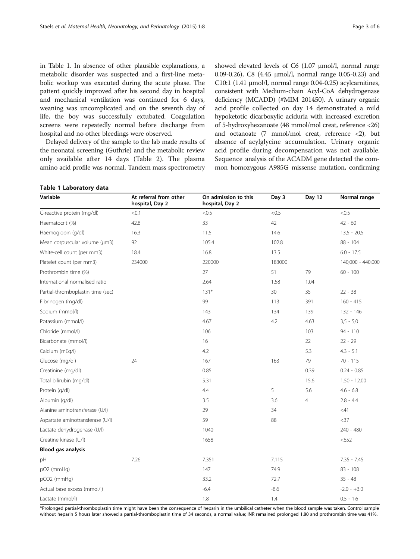in Table 1. In absence of other plausible explanations, a metabolic disorder was suspected and a first-line metabolic workup was executed during the acute phase. The patient quickly improved after his second day in hospital and mechanical ventilation was continued for 6 days, weaning was uncomplicated and on the seventh day of life, the boy was successfully extubated. Coagulation screens were repeatedly normal before discharge from hospital and no other bleedings were observed.

Delayed delivery of the sample to the lab made results of the neonatal screening (Guthrie) and the metabolic review only available after 14 days (Table [2\)](#page-3-0). The plasma amino acid profile was normal. Tandem mass spectrometry

showed elevated levels of C6 (1.07 μmol/l, normal range 0.09-0.26), C8 (4.45 μmol/l, normal range 0.05-0.23) and C10:1 (1.41 μmol/l, normal range 0.04-0.25) acylcarnitines, consistent with Medium-chain Acyl-CoA dehydrogenase deficiency (MCADD) (#MIM 201450). A urinary organic acid profile collected on day 14 demonstrated a mild hypoketotic dicarboxylic aciduria with increased excretion of 5-hydroxyhexanoate (48 mmol/mol creat, reference <26) and octanoate (7 mmol/mol creat, reference <2), but absence of acylglycine accumulation. Urinary organic acid profile during decompensation was not available. Sequence analysis of the ACADM gene detected the common homozygous A985G missense mutation, confirming

| <b>Table 1 Laboratory data</b> |  |  |  |  |
|--------------------------------|--|--|--|--|
|--------------------------------|--|--|--|--|

| Variable                          | At referral from other<br>hospital, Day 2 | On admission to this<br>hospital, Day 2 | Day 3  | Day 12 | Normal range      |
|-----------------------------------|-------------------------------------------|-----------------------------------------|--------|--------|-------------------|
| C-reactive protein (mg/dl)        | < 0.1                                     | < 0.5                                   | < 0.5  |        | < 0.5             |
| Haematocrit (%)                   | 42.8                                      | 33                                      | 42     |        | $42 - 60$         |
| Haemoglobin (g/dl)                | 16.3                                      | 11.5                                    | 14.6   |        | $13,5 - 20,5$     |
| Mean corpuscular volume (µm3)     | 92                                        | 105.4                                   | 102.8  |        | 88 - 104          |
| White-cell count (per mm3)        | 18.4                                      | 16.8                                    | 13.5   |        | $6.0 - 17.5$      |
| Platelet count (per mm3)          | 234000                                    | 220000                                  | 183000 |        | 140,000 - 440,000 |
| Prothrombin time (%)              |                                           | 27                                      | 51     | 79     | $60 - 100$        |
| International normalised ratio    |                                           | 2.64                                    | 1.58   | 1.04   |                   |
| Partial-thromboplastin time (sec) |                                           | $131*$                                  | 30     | 35     | $22 - 38$         |
| Fibrinogen (mg/dl)                |                                           | 99                                      | 113    | 391    | $160 - 415$       |
| Sodium (mmol/l)                   |                                           | 143                                     | 134    | 139    | 132 - 146         |
| Potassium (mmol/l)                |                                           | 4.67                                    | 4.2    | 4.63   | $3,5 - 5,0$       |
| Chloride (mmol/l)                 |                                           | 106                                     |        | 103    | $94 - 110$        |
| Bicarbonate (mmol/l)              |                                           | 16                                      |        | 22     | $22 - 29$         |
| Calcium (mEq/l)                   |                                           | 4.2                                     |        | 5.3    | $4.3 - 5.1$       |
| Glucose (mg/dl)                   | 24                                        | 167                                     | 163    | 79     | $70 - 115$        |
| Creatinine (mg/dl)                |                                           | 0.85                                    |        | 0.39   | $0.24 - 0.85$     |
| Total bilirubin (mg/dl)           |                                           | 5.31                                    |        | 15.6   | $1.50 - 12.00$    |
| Protein (g/dl)                    |                                           | 4.4                                     | 5      | 5.6    | $4.6 - 6.8$       |
| Albumin (g/dl)                    |                                           | 3.5                                     | 3.6    | 4      | $2.8 - 4.4$       |
| Alanine aminotransferase (U/l)    |                                           | 29                                      | 34     |        | $<$ 41            |
| Aspartate aminotransferase (U/l)  |                                           | 59                                      | 88     |        | $37$              |
| Lactate dehydrogenase (U/I)       |                                           | 1040                                    |        |        | 240 - 480         |
| Creatine kinase (U/l)             |                                           | 1658                                    |        |        | < 652             |
| <b>Blood gas analysis</b>         |                                           |                                         |        |        |                   |
| pH                                | 7.26                                      | 7.351                                   | 7.115  |        | $7.35 - 7.45$     |
| pO2 (mmHq)                        |                                           | 147                                     | 74.9   |        | $83 - 108$        |
| pCO <sub>2</sub> (mmHg)           |                                           | 33.2                                    | 72.7   |        | $35 - 48$         |
| Actual base excess (mmol/l)       |                                           | $-6.4$                                  | $-8.6$ |        | $-2.0 - +3.0$     |
| Lactate (mmol/l)                  |                                           | 1.8                                     | 1.4    |        | $0.5 - 1.6$       |

\*Prolonged partial-thromboplastin time might have been the consequence of heparin in the umbilical catheter when the blood sample was taken. Control sample without heparin 5 hours later showed a partial-thromboplastin time of 34 seconds, a normal value; INR remained prolonged 1.80 and prothrombin time was 41%.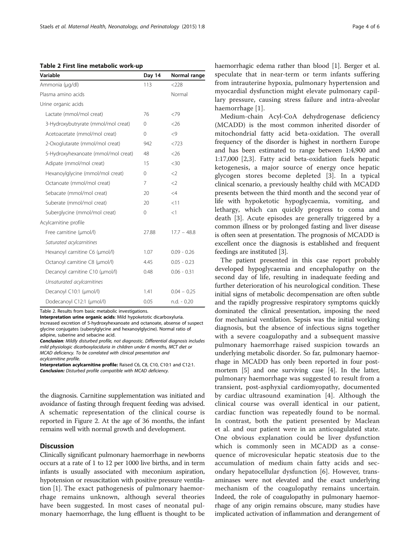<span id="page-3-0"></span>Table 2 First line metabolic work-up

| Variable                            | Day 14   | Normal range  |  |
|-------------------------------------|----------|---------------|--|
| Ammonia (µg/dl)                     | 113      | $<$ 228       |  |
| Plasma amino acids                  |          | Normal        |  |
| Urine organic acids                 |          |               |  |
| Lactate (mmol/mol creat)            | 76       | <79           |  |
| 3-Hydroxybutryrate (mmol/mol creat) | 0        | < 26          |  |
| Acetoacetate (mmol/mol creat)       | 0        | <9            |  |
| 2-Oxoglutarate (mmol/mol creat)     | 942      | <723          |  |
| 5-Hydroxyhexanoate (mmol/mol creat) | 48       | < 26          |  |
| Adipate (mmol/mol creat)            | 15       | <30           |  |
| Hexanoylglycine (mmol/mol creat)    | $\Omega$ | $<$ 2         |  |
| Octanoate (mmol/mol creat)          | 7        | $\langle$     |  |
| Sebacate (mmol/mol creat)           | 20       | $\leq 4$      |  |
| Suberate (mmol/mol creat)           | 20       | <11           |  |
| Suberglycine (mmol/mol creat)       | 0        | <1            |  |
| Acylcarnitine profile               |          |               |  |
| Free carnitine (µmol/l)             | 27.88    | $17.7 - 48.8$ |  |
| Saturated acylcarnitines            |          |               |  |
| Hexanoyl carnitine C6 (µmol/l)      | 1.07     | $0.09 - 0.26$ |  |
| Octanoyl carnitine C8 (µmol/l)      | 4.45     | $0.05 - 0.23$ |  |
| Decanoyl carnitine C10 (µmol/l)     | 0.48     | $0.06 - 0.31$ |  |
| Unsaturated acylcarnitines          |          |               |  |
| Decanoyl C10:1 (µmol/l)             | 1.41     | $0.04 - 0.25$ |  |
| Dodecanoyl C12:1 (µmol/l)           | 0.05     | $n.d. - 0.20$ |  |

Table 2. Results from basic metabolic investigations.

Interpretation urine organic acids: Mild hypoketotic dicarboxyluria.

Increased excretion of 5-hydroxyhexanoate and octanoate, absense of suspect glycine conjugates (suberylglycine and hexanoylglycine). Normal ratio of adipine, suberine and sebacine acid.

Conclusion: Mildly disturbed profile, not diagnostic. Differential diagnosis includes mild physiologic dicarboxylaciduria in children under 6 months, MCT diet or MCAD deficiency. To be correlated with clinical presentation and acylcarnitine profile.

Interpretation acylcarnitine profile: Raised C6, C8, C10, C10:1 and C12:1. Conclusion: Disturbed profile compatible with MCAD deficiency.

the diagnosis. Carnitine supplementation was initiated and avoidance of fasting through frequent feeding was advised. A schematic representation of the clinical course is reported in Figure [2](#page-4-0). At the age of 36 months, the infant remains well with normal growth and development.

#### **Discussion**

Clinically significant pulmonary haemorrhage in newborns occurs at a rate of 1 to 12 per 1000 live births, and in term infants is usually associated with meconium aspiration, hypotension or resuscitation with positive pressure ventilation [\[1\]](#page-5-0). The exact pathogenesis of pulmonary haemorrhage remains unknown, although several theories have been suggested. In most cases of neonatal pulmonary haemorrhage, the lung effluent is thought to be haemorrhagic edema rather than blood [\[1\]](#page-5-0). Berger et al. speculate that in near-term or term infants suffering from intrauterine hypoxia, pulmonary hypertension and myocardial dysfunction might elevate pulmonary capillary pressure, causing stress failure and intra-alveolar haemorrhage [\[1](#page-5-0)].

Medium-chain Acyl-CoA dehydrogenase deficiency (MCADD) is the most common inherited disorder of mitochondrial fatty acid beta-oxidation. The overall frequency of the disorder is highest in northern Europe and has been estimated to range between 1:4,900 and 1:17,000 [\[2](#page-5-0),[3\]](#page-5-0). Fatty acid beta-oxidation fuels hepatic ketogenesis, a major source of energy once hepatic glycogen stores become depleted [[3\]](#page-5-0). In a typical clinical scenario, a previously healthy child with MCADD presents between the third month and the second year of life with hypoketotic hypoglycaemia, vomiting, and lethargy, which can quickly progress to coma and death [\[3](#page-5-0)]. Acute episodes are generally triggered by a common illness or by prolonged fasting and liver disease is often seen at presentation. The prognosis of MCADD is excellent once the diagnosis is established and frequent feedings are instituted [\[3](#page-5-0)].

The patient presented in this case report probably developed hypoglycaemia and encephalopathy on the second day of life, resulting in inadequate feeding and further deterioration of his neurological condition. These initial signs of metabolic decompensation are often subtle and the rapidly progressive respiratory symptoms quickly dominated the clinical presentation, imposing the need for mechanical ventilation. Sepsis was the initial working diagnosis, but the absence of infectious signs together with a severe coagulopathy and a subsequent massive pulmonary haemorrhage raised suspicion towards an underlying metabolic disorder. So far, pulmonary haemorrhage in MCADD has only been reported in four postmortem [[5\]](#page-5-0) and one surviving case [\[4\]](#page-5-0). In the latter, pulmonary haemorrhage was suggested to result from a transient, post-asphyxial cardiomyopathy, documented by cardiac ultrasound examination [\[4](#page-5-0)]. Although the clinical course was overall identical in our patient, cardiac function was repeatedly found to be normal. In contrast, both the patient presented by Maclean et al. and our patient were in an anticoagulated state. One obvious explanation could be liver dysfunction which is commonly seen in MCADD as a consequence of microvesicular hepatic steatosis due to the accumulation of medium chain fatty acids and secondary hepatocellular dysfunction [[6](#page-5-0)]. However, transaminases were not elevated and the exact underlying mechanism of the coagulopathy remains uncertain. Indeed, the role of coagulopathy in pulmonary haemorrhage of any origin remains obscure, many studies have implicated activation of inflammation and derangement of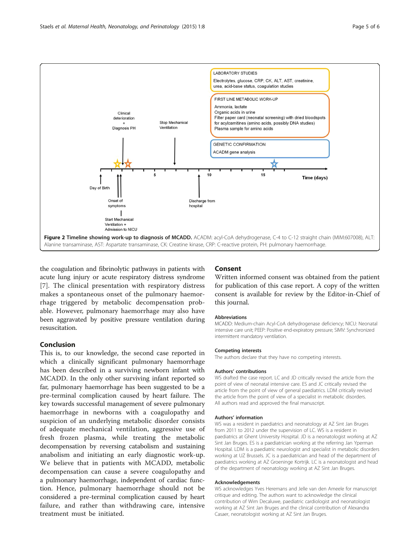<span id="page-4-0"></span>

the coagulation and fibrinolytic pathways in patients with acute lung injury or acute respiratory distress syndrome [[7\]](#page-5-0). The clinical presentation with respiratory distress makes a spontaneous onset of the pulmonary haemorrhage triggered by metabolic decompensation probable. However, pulmonary haemorrhage may also have been aggravated by positive pressure ventilation during resuscitation.

## Conclusion

This is, to our knowledge, the second case reported in which a clinically significant pulmonary haemorrhage has been described in a surviving newborn infant with MCADD. In the only other surviving infant reported so far, pulmonary haemorrhage has been suggested to be a pre-terminal complication caused by heart failure. The key towards successful management of severe pulmonary haemorrhage in newborns with a coagulopathy and suspicion of an underlying metabolic disorder consists of adequate mechanical ventilation, aggressive use of fresh frozen plasma, while treating the metabolic decompensation by reversing catabolism and sustaining anabolism and initiating an early diagnostic work-up. We believe that in patients with MCADD, metabolic decompensation can cause a severe coagulopathy and a pulmonary haemorrhage, independent of cardiac function. Hence, pulmonary haemorrhage should not be considered a pre-terminal complication caused by heart failure, and rather than withdrawing care, intensive treatment must be initiated.

## Consent

Written informed consent was obtained from the patient for publication of this case report. A copy of the written consent is available for review by the Editor-in-Chief of this journal.

#### Abbreviations

MCADD: Medium-chain Acyl-CoA dehydrogenase deficiency; NICU: Neonatal intensive care unit; PEEP: Positive end-expiratory pressure; SIMV: Synchronized intermittent mandatory ventilation.

#### Competing interests

The authors declare that they have no competing interests.

#### Authors' contributions

WS drafted the case report. LC and JD critically revised the article from the point of view of neonatal intensive care. ES and JC critically revised the article from the point of view of general paediatrics. LDM critically revised the article from the point of view of a specialist in metabolic disorders. All authors read and approved the final manuscript.

#### Authors' information

WS was a resident in paediatrics and neonatology at AZ Sint Jan Bruges from 2011 to 2012 under the supervision of LC. WS is a resident in paediatrics at Ghent University Hospital. JD is a neonatologist working at AZ Sint Jan Bruges. ES is a paediatrician working at the referring Jan Yperman Hospital. LDM is a paediatric neurologist and specialist in metabolic disorders working at UZ Brussels. JC is a paediatrician and head of the department of paediatrics working at AZ Groeninge Kortrijk. LC is a neonatologist and head of the department of neonatology working at AZ Sint Jan Bruges.

#### Acknowledgements

WS acknowledges Yves Heremans and Jelle van den Ameele for manuscript critique and editing. The authors want to acknowledge the clinical contribution of Wim Decaluwe, paediatric cardiologist and neonatologist working at AZ Sint Jan Bruges and the clinical contribution of Alexandra Casaer, neonatologist working at AZ Sint Jan Bruges.